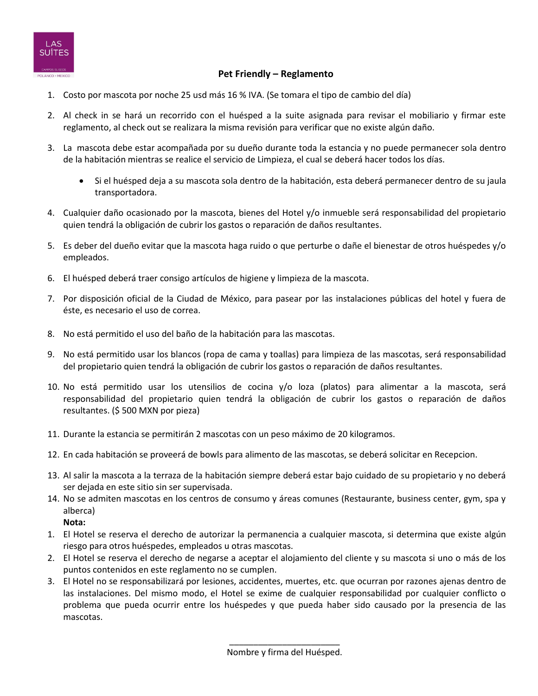

## **Pet Friendly – Reglamento**

- 1. Costo por mascota por noche 25 usd más 16 % IVA. (Se tomara el tipo de cambio del día)
- 2. Al check in se hará un recorrido con el huésped a la suite asignada para revisar el mobiliario y firmar este reglamento, al check out se realizara la misma revisión para verificar que no existe algún daño.
- 3. La mascota debe estar acompañada por su dueño durante toda la estancia y no puede permanecer sola dentro de la habitación mientras se realice el servicio de Limpieza, el cual se deberá hacer todos los días.
	- Si el huésped deja a su mascota sola dentro de la habitación, esta deberá permanecer dentro de su jaula transportadora.
- 4. Cualquier daño ocasionado por la mascota, bienes del Hotel y/o inmueble será responsabilidad del propietario quien tendrá la obligación de cubrir los gastos o reparación de daños resultantes.
- 5. Es deber del dueño evitar que la mascota haga ruido o que perturbe o dañe el bienestar de otros huéspedes y/o empleados.
- 6. El huésped deberá traer consigo artículos de higiene y limpieza de la mascota.
- 7. Por disposición oficial de la Ciudad de México, para pasear por las instalaciones públicas del hotel y fuera de éste, es necesario el uso de correa.
- 8. No está permitido el uso del baño de la habitación para las mascotas.
- 9. No está permitido usar los blancos (ropa de cama y toallas) para limpieza de las mascotas, será responsabilidad del propietario quien tendrá la obligación de cubrir los gastos o reparación de daños resultantes.
- 10. No está permitido usar los utensilios de cocina y/o loza (platos) para alimentar a la mascota, será responsabilidad del propietario quien tendrá la obligación de cubrir los gastos o reparación de daños resultantes. (\$ 500 MXN por pieza)
- 11. Durante la estancia se permitirán 2 mascotas con un peso máximo de 20 kilogramos.
- 12. En cada habitación se proveerá de bowls para alimento de las mascotas, se deberá solicitar en Recepcion.
- 13. Al salir la mascota a la terraza de la habitación siempre deberá estar bajo cuidado de su propietario y no deberá ser dejada en este sitio sin ser supervisada.
- 14. No se admiten mascotas en los centros de consumo y áreas comunes (Restaurante, business center, gym, spa y alberca)
	- **Nota:**
- 1. El Hotel se reserva el derecho de autorizar la permanencia a cualquier mascota, si determina que existe algún riesgo para otros huéspedes, empleados u otras mascotas.
- 2. El Hotel se reserva el derecho de negarse a aceptar el alojamiento del cliente y su mascota si uno o más de los puntos contenidos en este reglamento no se cumplen.
- 3. El Hotel no se responsabilizará por lesiones, accidentes, muertes, etc. que ocurran por razones ajenas dentro de las instalaciones. Del mismo modo, el Hotel se exime de cualquier responsabilidad por cualquier conflicto o problema que pueda ocurrir entre los huéspedes y que pueda haber sido causado por la presencia de las mascotas.